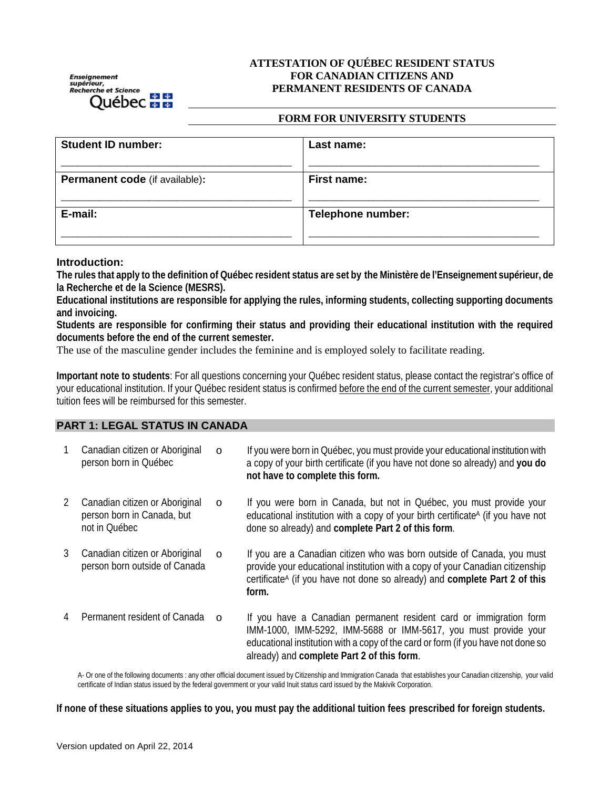Enseignement<br>supérieur,<br>Recherche et Science Québec **na m** 

## **ATTESTATION OF QUÉBEC RESIDENT STATUS FOR CANADIAN CITIZENS AND PERMANENT RESIDENTS OF CANADA**

#### **FORM FOR UNIVERSITY STUDENTS**

| <b>Student ID number:</b>             | Last name:               |
|---------------------------------------|--------------------------|
| <b>Permanent code</b> (if available): | First name:              |
| E-mail:                               | <b>Telephone number:</b> |
|                                       |                          |

## **Introduction:**

**The rules that apply to the definition of Québec resident status are set by the Ministère de l'Enseignement supérieur, de la Recherche et de la Science (MESRS).**

**Educational institutions are responsible for applying the rules, informing students, collecting supporting documents and invoicing.**

**Students are responsible for confirming their status and providing their educational institution with the required documents before the end of the current semester.** 

The use of the masculine gender includes the feminine and is employed solely to facilitate reading.

**Important note to students**: For all questions concerning your Québec resident status, please contact the registrar's office of your educational institution. If your Québec resident status is confirmed before the end of the current semester, your additional tuition fees will be reimbursed for this semester.

#### **PART 1: LEGAL STATUS IN CANADA**

|   | Canadian citizen or Aboriginal<br>person born in Québec                       | $\Omega$ | If you were born in Québec, you must provide your educational institution with<br>a copy of your birth certificate (if you have not done so already) and you do<br>not have to complete this form.                                                                      |
|---|-------------------------------------------------------------------------------|----------|-------------------------------------------------------------------------------------------------------------------------------------------------------------------------------------------------------------------------------------------------------------------------|
| 2 | Canadian citizen or Aboriginal<br>person born in Canada, but<br>not in Québec | $\Omega$ | If you were born in Canada, but not in Québec, you must provide your<br>educational institution with a copy of your birth certificate <sup>A</sup> (if you have not<br>done so already) and complete Part 2 of this form.                                               |
| 3 | Canadian citizen or Aboriginal<br>person born outside of Canada               | $\Omega$ | If you are a Canadian citizen who was born outside of Canada, you must<br>provide your educational institution with a copy of your Canadian citizenship<br>certificate <sup>A</sup> (if you have not done so already) and complete Part 2 of this<br>form.              |
|   | Permanent resident of Canada                                                  | $\Omega$ | If you have a Canadian permanent resident card or immigration form<br>IMM-1000, IMM-5292, IMM-5688 or IMM-5617, you must provide your<br>educational institution with a copy of the card or form (if you have not done so<br>already) and complete Part 2 of this form. |

A- Or one of the following documents : any other official document issued by Citizenship and Immigration Canada that establishes your Canadian citizenship, your valid certificate of Indian status issued by the federal government or your valid Inuit status card issued by the Makivik Corporation.

**If none of these situations applies to you, you must pay the additional tuition fees prescribed for foreign students.**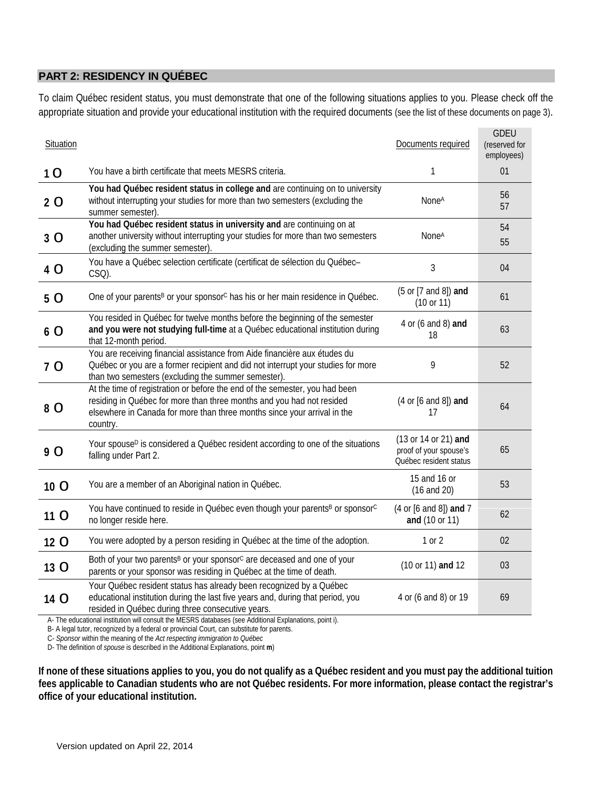# **PART 2: RESIDENCY IN QUÉBEC**

To claim Québec resident status, you must demonstrate that one of the following situations applies to you. Please check off the appropriate situation and provide your educational institution with the required documents (see the list of these documents on page 3).

| Situation |                                                                                                                                                                                                                                                                                                                        | Documents required                                                       | <b>GDEU</b><br>(reserved for<br>employees) |
|-----------|------------------------------------------------------------------------------------------------------------------------------------------------------------------------------------------------------------------------------------------------------------------------------------------------------------------------|--------------------------------------------------------------------------|--------------------------------------------|
| 10        | You have a birth certificate that meets MESRS criteria.                                                                                                                                                                                                                                                                | 1                                                                        | 01                                         |
| 2 O       | You had Québec resident status in college and are continuing on to university<br>without interrupting your studies for more than two semesters (excluding the<br>summer semester).                                                                                                                                     | None <sup>A</sup>                                                        | 56<br>57                                   |
| 3 O       | You had Québec resident status in university and are continuing on at<br>another university without interrupting your studies for more than two semesters<br>(excluding the summer semester).                                                                                                                          | None <sup>A</sup>                                                        | 54<br>55                                   |
| 4 O       | You have a Québec selection certificate (certificat de sélection du Québec-<br>CSQ).                                                                                                                                                                                                                                   | $\mathfrak{Z}$                                                           | 04                                         |
| 5 O       | One of your parents <sup>B</sup> or your sponsor <sup>c</sup> has his or her main residence in Québec.                                                                                                                                                                                                                 | (5 or [7 and 8]) and<br>(10 or 11)                                       | 61                                         |
| 6 O       | You resided in Québec for twelve months before the beginning of the semester<br>and you were not studying full-time at a Québec educational institution during<br>that 12-month period.                                                                                                                                | 4 or (6 and 8) and<br>18                                                 | 63                                         |
| 7 O       | You are receiving financial assistance from Aide financière aux études du<br>Québec or you are a former recipient and did not interrupt your studies for more<br>than two semesters (excluding the summer semester).                                                                                                   | 9                                                                        | 52                                         |
| 8 O       | At the time of registration or before the end of the semester, you had been<br>residing in Québec for more than three months and you had not resided<br>elsewhere in Canada for more than three months since your arrival in the<br>country.                                                                           | $(4 or [6 and 8])$ and<br>17                                             | 64                                         |
| 9 O       | Your spouse <sup>D</sup> is considered a Québec resident according to one of the situations<br>falling under Part 2.                                                                                                                                                                                                   | (13 or 14 or 21) and<br>proof of your spouse's<br>Québec resident status | 65                                         |
| 10 O      | You are a member of an Aboriginal nation in Québec.                                                                                                                                                                                                                                                                    | 15 and 16 or<br>$(16$ and $20)$                                          | 53                                         |
| 11 O      | You have continued to reside in Québec even though your parents <sup>B</sup> or sponsor <sup>C</sup><br>no longer reside here.                                                                                                                                                                                         | (4 or [6 and 8]) and 7<br>and (10 or 11)                                 | 62                                         |
| 12 O      | You were adopted by a person residing in Québec at the time of the adoption.                                                                                                                                                                                                                                           | 1 or 2                                                                   | 02                                         |
| 13 O      | Both of your two parents <sup>B</sup> or your sponsor <sup>c</sup> are deceased and one of your<br>parents or your sponsor was residing in Québec at the time of death.                                                                                                                                                | (10 or 11) and 12                                                        | 03                                         |
| 14 O      | Your Québec resident status has already been recognized by a Québec<br>educational institution during the last five years and, during that period, you<br>resided in Québec during three consecutive years.<br>A- The educational institution will consult the MESRS databases (see Additional Explanations, point i). | 4 or (6 and 8) or 19                                                     | 69                                         |

B- A legal tutor, recognized by a federal or provincial Court, can substitute for parents.

C- *Sponsor* within the meaning of the *Act respecting immigration to Québec*

D- The definition of *spouse* is described in the Additional Explanations, point **m**)

**If none of these situations applies to you, you do not qualify as a Québec resident and you must pay the additional tuition fees applicable to Canadian students who are not Québec residents. For more information, please contact the registrar's office of your educational institution.**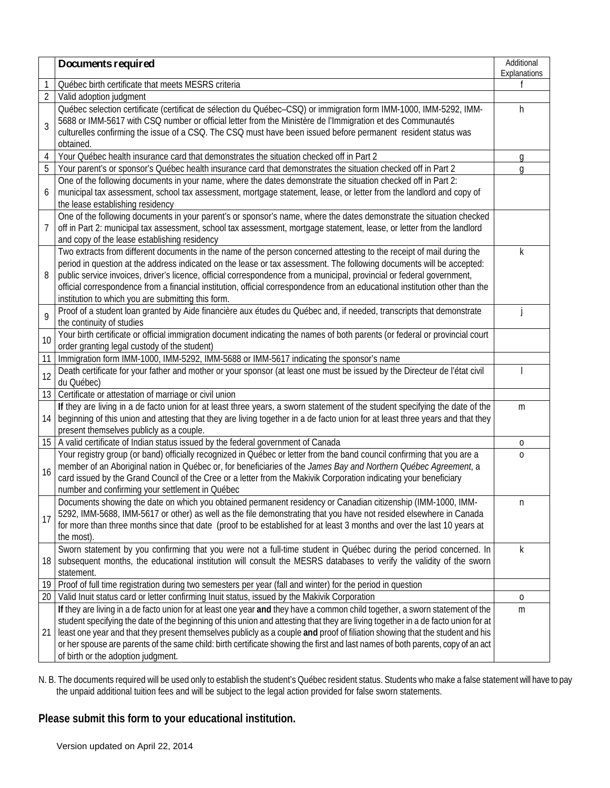|                | Documents required                                                                                                                                                                                                                                                                                                                                                                                                                                                                                                                                                         | Additional<br>Explanations |  |  |
|----------------|----------------------------------------------------------------------------------------------------------------------------------------------------------------------------------------------------------------------------------------------------------------------------------------------------------------------------------------------------------------------------------------------------------------------------------------------------------------------------------------------------------------------------------------------------------------------------|----------------------------|--|--|
| 1              | Québec birth certificate that meets MESRS criteria                                                                                                                                                                                                                                                                                                                                                                                                                                                                                                                         |                            |  |  |
| $\sqrt{2}$     | Valid adoption judgment                                                                                                                                                                                                                                                                                                                                                                                                                                                                                                                                                    |                            |  |  |
| 3              | Québec selection certificate (certificat de sélection du Québec-CSQ) or immigration form IMM-1000, IMM-5292, IMM-<br>5688 or IMM-5617 with CSQ number or official letter from the Ministère de l'Immigration et des Communautés<br>culturelles confirming the issue of a CSQ. The CSQ must have been issued before permanent resident status was<br>obtained.                                                                                                                                                                                                              |                            |  |  |
| $\overline{4}$ | Your Québec health insurance card that demonstrates the situation checked off in Part 2                                                                                                                                                                                                                                                                                                                                                                                                                                                                                    | g                          |  |  |
| 5              | Your parent's or sponsor's Québec health insurance card that demonstrates the situation checked off in Part 2                                                                                                                                                                                                                                                                                                                                                                                                                                                              |                            |  |  |
| 6              | One of the following documents in your name, where the dates demonstrate the situation checked off in Part 2:<br>municipal tax assessment, school tax assessment, mortgage statement, lease, or letter from the landlord and copy of<br>the lease establishing residency                                                                                                                                                                                                                                                                                                   |                            |  |  |
| 7              | One of the following documents in your parent's or sponsor's name, where the dates demonstrate the situation checked<br>off in Part 2: municipal tax assessment, school tax assessment, mortgage statement, lease, or letter from the landlord<br>and copy of the lease establishing residency                                                                                                                                                                                                                                                                             |                            |  |  |
| 8              | Two extracts from different documents in the name of the person concerned attesting to the receipt of mail during the<br>period in question at the address indicated on the lease or tax assessment. The following documents will be accepted:<br>public service invoices, driver's licence, official correspondence from a municipal, provincial or federal government,<br>official correspondence from a financial institution, official correspondence from an educational institution other than the<br>institution to which you are submitting this form.             | k                          |  |  |
| 9              | Proof of a student loan granted by Aide financière aux études du Québec and, if needed, transcripts that demonstrate<br>the continuity of studies                                                                                                                                                                                                                                                                                                                                                                                                                          |                            |  |  |
| 10             | Your birth certificate or official immigration document indicating the names of both parents (or federal or provincial court<br>order granting legal custody of the student)                                                                                                                                                                                                                                                                                                                                                                                               |                            |  |  |
| 11             | Immigration form IMM-1000, IMM-5292, IMM-5688 or IMM-5617 indicating the sponsor's name                                                                                                                                                                                                                                                                                                                                                                                                                                                                                    |                            |  |  |
| 12             | Death certificate for your father and mother or your sponsor (at least one must be issued by the Directeur de l'état civil<br>du Québec)                                                                                                                                                                                                                                                                                                                                                                                                                                   |                            |  |  |
| 13             | Certificate or attestation of marriage or civil union                                                                                                                                                                                                                                                                                                                                                                                                                                                                                                                      |                            |  |  |
| 14             | If they are living in a de facto union for at least three years, a sworn statement of the student specifying the date of the<br>beginning of this union and attesting that they are living together in a de facto union for at least three years and that they<br>present themselves publicly as a couple.                                                                                                                                                                                                                                                                 | m                          |  |  |
| 15             | A valid certificate of Indian status issued by the federal government of Canada                                                                                                                                                                                                                                                                                                                                                                                                                                                                                            | 0                          |  |  |
| 16             | Your registry group (or band) officially recognized in Québec or letter from the band council confirming that you are a<br>member of an Aboriginal nation in Québec or, for beneficiaries of the James Bay and Northern Québec Agreement, a<br>card issued by the Grand Council of the Cree or a letter from the Makivik Corporation indicating your beneficiary<br>number and confirming your settlement in Québec                                                                                                                                                        | $\mathbf 0$                |  |  |
| 17             | Documents showing the date on which you obtained permanent residency or Canadian citizenship (IMM-1000, IMM-<br>5292, IMM-5688, IMM-5617 or other) as well as the file demonstrating that you have not resided elsewhere in Canada<br>for more than three months since that date (proof to be established for at least 3 months and over the last 10 years at<br>the most).                                                                                                                                                                                                | n                          |  |  |
| 18             | Sworn statement by you confirming that you were not a full-time student in Québec during the period concerned. In<br>subsequent months, the educational institution will consult the MESRS databases to verify the validity of the sworn<br>statement.                                                                                                                                                                                                                                                                                                                     | k                          |  |  |
| 19             | Proof of full time registration during two semesters per year (fall and winter) for the period in question                                                                                                                                                                                                                                                                                                                                                                                                                                                                 |                            |  |  |
| 20             | Valid Inuit status card or letter confirming Inuit status, issued by the Makivik Corporation                                                                                                                                                                                                                                                                                                                                                                                                                                                                               | 0                          |  |  |
| 21             | If they are living in a de facto union for at least one year and they have a common child together, a sworn statement of the<br>student specifying the date of the beginning of this union and attesting that they are living together in a de facto union for at<br>least one year and that they present themselves publicly as a couple and proof of filiation showing that the student and his<br>or her spouse are parents of the same child: birth certificate showing the first and last names of both parents, copy of an act<br>of birth or the adoption judgment. | m                          |  |  |

N. B. The documents required will be used only to establish the student's Québec resident status. Students who make a false statement will have to pay the unpaid additional tuition fees and will be subject to the legal action provided for false sworn statements.

# **Please submit this form to your educational institution.**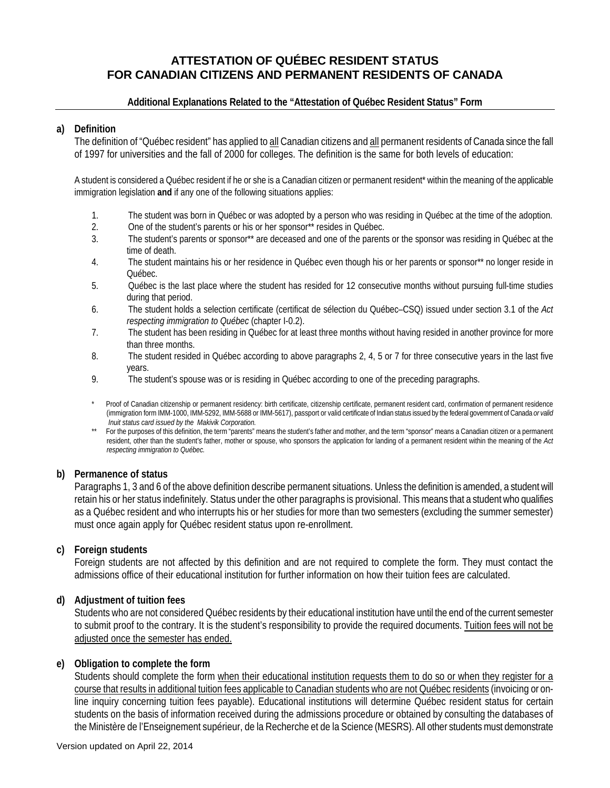# **ATTESTATION OF QUÉBEC RESIDENT STATUS FOR CANADIAN CITIZENS AND PERMANENT RESIDENTS OF CANADA**

### **Additional Explanations Related to the "Attestation of Québec Resident Status" Form**

### **a) Definition**

The definition of "Québec resident" has applied to all Canadian citizens and all permanent residents of Canada since the fall of 1997 for universities and the fall of 2000 for colleges. The definition is the same for both levels of education:

A student is considered a Québec resident if he or she is a Canadian citizen or permanent resident\* within the meaning of the applicable immigration legislation **and** if any one of the following situations applies:

- 1. The student was born in Québec or was adopted by a person who was residing in Québec at the time of the adoption.
- 2. One of the student's parents or his or her sponsor\*\* resides in Québec.
- 3. The student's parents or sponsor\*\* are deceased and one of the parents or the sponsor was residing in Québec at the time of death.
- 4. The student maintains his or her residence in Québec even though his or her parents or sponsor\*\* no longer reside in Québec.
- 5. Québec is the last place where the student has resided for 12 consecutive months without pursuing full-time studies during that period.
- 6. The student holds a selection certificate (certificat de sélection du Québec–CSQ) issued under section 3.1 of the *Act respecting immigration to Québec* (chapter I-0.2).
- 7. The student has been residing in Québec for at least three months without having resided in another province for more than three months.
- 8. The student resided in Québec according to above paragraphs 2, 4, 5 or 7 for three consecutive years in the last five years.
- 9. The student's spouse was or is residing in Québec according to one of the preceding paragraphs.
- Proof of Canadian citizenship or permanent residency: birth certificate, citizenship certificate, permanent resident card, confirmation of permanent residence (immigration form IMM-1000, IMM-5292, IMM-5688 or IMM-5617), passport or valid certificate of Indian status issued by the federal government of Canada *or valid Inuit status card issued by the Makivik Corporation.*
- \*\* For the purposes of this definition, the term "parents" means the student's father and mother, and the term "sponsor" means a Canadian citizen or a permanent resident, other than the student's father, mother or spouse, who sponsors the application for landing of a permanent resident within the meaning of the *Act respecting immigration to Québec.*

### **b) Permanence of status**

Paragraphs 1, 3 and 6 of the above definition describe permanent situations. Unless the definition is amended, a student will retain his or her status indefinitely. Status under the other paragraphs is provisional. This means that a student who qualifies as a Québec resident and who interrupts his or her studies for more than two semesters (excluding the summer semester) must once again apply for Québec resident status upon re-enrollment.

# **c) Foreign students**

Foreign students are not affected by this definition and are not required to complete the form. They must contact the admissions office of their educational institution for further information on how their tuition fees are calculated.

# **d) Adjustment of tuition fees**

Students who are not considered Québec residents by their educational institution have until the end of the current semester to submit proof to the contrary. It is the student's responsibility to provide the required documents. Tuition fees will not be adjusted once the semester has ended.

### **e) Obligation to complete the form**

Students should complete the form when their educational institution requests them to do so or when they register for a course that results in additional tuition fees applicable to Canadian students who are not Québec residents (invoicing or online inquiry concerning tuition fees payable). Educational institutions will determine Québec resident status for certain students on the basis of information received during the admissions procedure or obtained by consulting the databases of the Ministère de l'Enseignement supérieur, de la Recherche et de la Science (MESRS). All other students must demonstrate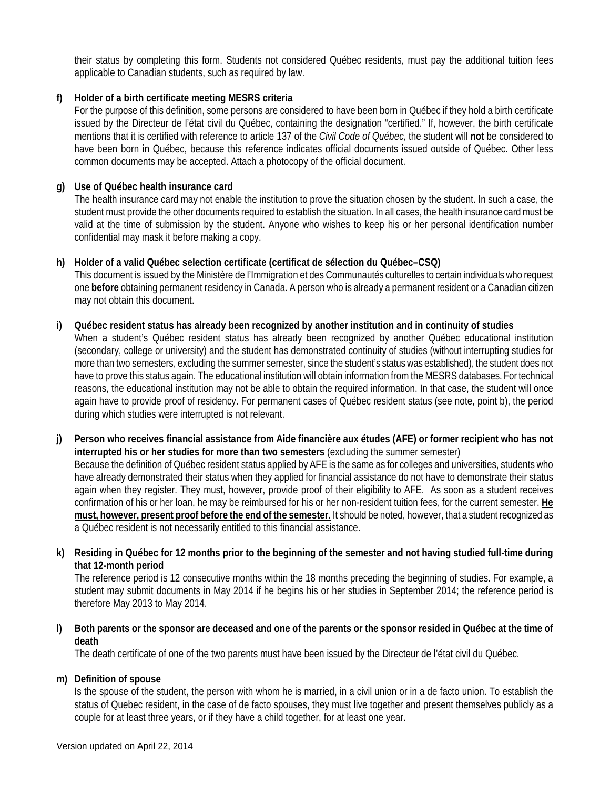their status by completing this form. Students not considered Québec residents, must pay the additional tuition fees applicable to Canadian students, such as required by law.

## **f) Holder of a birth certificate meeting MESRS criteria**

For the purpose of this definition, some persons are considered to have been born in Québec if they hold a birth certificate issued by the Directeur de l'état civil du Québec, containing the designation "certified." If, however, the birth certificate mentions that it is certified with reference to article 137 of the *Civil Code of Québec*, the student will **not** be considered to have been born in Québec, because this reference indicates official documents issued outside of Québec. Other less common documents may be accepted. Attach a photocopy of the official document.

### **g) Use of Québec health insurance card**

The health insurance card may not enable the institution to prove the situation chosen by the student. In such a case, the student must provide the other documents required to establish the situation. In all cases, the health insurance card must be valid at the time of submission by the student. Anyone who wishes to keep his or her personal identification number confidential may mask it before making a copy.

### **h) Holder of a valid Québec selection certificate (certificat de sélection du Québec–CSQ)**

This document is issued by the Ministère de l'Immigration et des Communautés culturelles to certain individuals who request one **before** obtaining permanent residency in Canada. A person who is already a permanent resident or a Canadian citizen may not obtain this document.

#### **i) Québec resident status has already been recognized by another institution and in continuity of studies**

When a student's Québec resident status has already been recognized by another Québec educational institution (secondary, college or university) and the student has demonstrated continuity of studies (without interrupting studies for more than two semesters, excluding the summer semester, since the student's status was established), the student does not have to prove this status again. The educational institution will obtain information from the MESRS databases. For technical reasons, the educational institution may not be able to obtain the required information. In that case, the student will once again have to provide proof of residency. For permanent cases of Québec resident status (see note, point b), the period during which studies were interrupted is not relevant.

**j) Person who receives financial assistance from Aide financière aux études (AFE) or former recipient who has not interrupted his or her studies for more than two semesters** (excluding the summer semester) Because the definition of Québec resident status applied by AFE is the same as for colleges and universities, students who have already demonstrated their status when they applied for financial assistance do not have to demonstrate their status again when they register. They must, however, provide proof of their eligibility to AFE. As soon as a student receives confirmation of his or her loan, he may be reimbursed for his or her non-resident tuition fees, for the current semester. **He must, however, present proof before the end of the semester.** It should be noted, however, that a student recognized as a Québec resident is not necessarily entitled to this financial assistance.

## **k) Residing in Québec for 12 months prior to the beginning of the semester and not having studied full-time during that 12-month period**

The reference period is 12 consecutive months within the 18 months preceding the beginning of studies. For example, a student may submit documents in May 2014 if he begins his or her studies in September 2014; the reference period is therefore May 2013 to May 2014.

**l) Both parents or the sponsor are deceased and one of the parents or the sponsor resided in Québec at the time of death**

The death certificate of one of the two parents must have been issued by the Directeur de l'état civil du Québec.

### **m) Definition of spouse**

Is the spouse of the student, the person with whom he is married, in a civil union or in a de facto union. To establish the status of Quebec resident, in the case of de facto spouses, they must live together and present themselves publicly as a couple for at least three years, or if they have a child together, for at least one year.